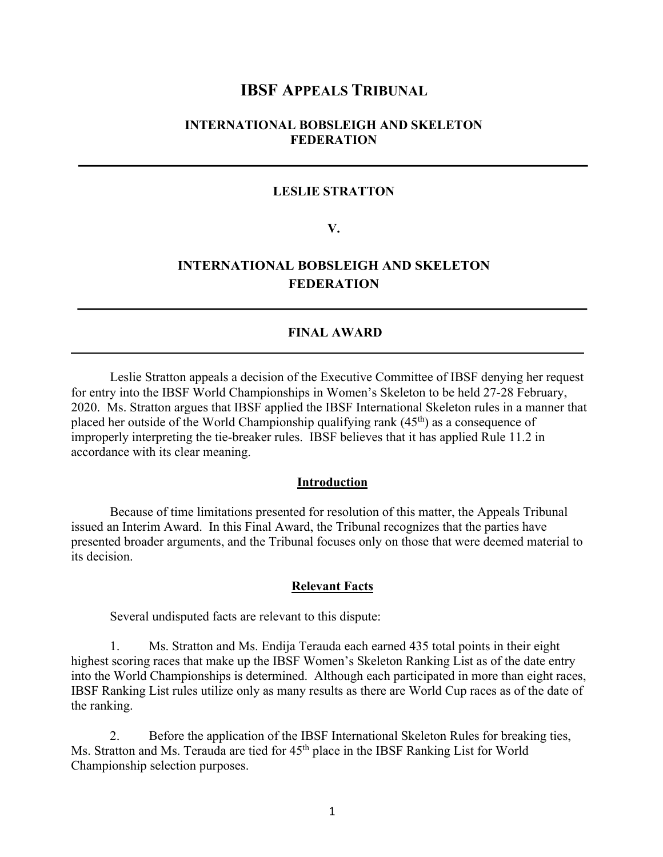# **IBSF APPEALS TRIBUNAL**

### **INTERNATIONAL BOBSLEIGH AND SKELETON FEDERATION**

### **LESLIE STRATTON**

**V.** 

## **INTERNATIONAL BOBSLEIGH AND SKELETON FEDERATION**

### **FINAL AWARD**

Leslie Stratton appeals a decision of the Executive Committee of IBSF denying her request for entry into the IBSF World Championships in Women's Skeleton to be held 27-28 February, 2020. Ms. Stratton argues that IBSF applied the IBSF International Skeleton rules in a manner that placed her outside of the World Championship qualifying rank (45<sup>th</sup>) as a consequence of improperly interpreting the tie-breaker rules. IBSF believes that it has applied Rule 11.2 in accordance with its clear meaning.

#### **Introduction**

Because of time limitations presented for resolution of this matter, the Appeals Tribunal issued an Interim Award. In this Final Award, the Tribunal recognizes that the parties have presented broader arguments, and the Tribunal focuses only on those that were deemed material to its decision.

#### **Relevant Facts**

Several undisputed facts are relevant to this dispute:

 $\overline{a}$ 

1. Ms. Stratton and Ms. Endija Terauda each earned 435 total points in their eight highest scoring races that make up the IBSF Women's Skeleton Ranking List as of the date entry into the World Championships is determined. Although each participated in more than eight races, IBSF Ranking List rules utilize only as many results as there are World Cup races as of the date of the ranking.

2. Before the application of the IBSF International Skeleton Rules for breaking ties, Ms. Stratton and Ms. Terauda are tied for  $45<sup>th</sup>$  place in the IBSF Ranking List for World Championship selection purposes.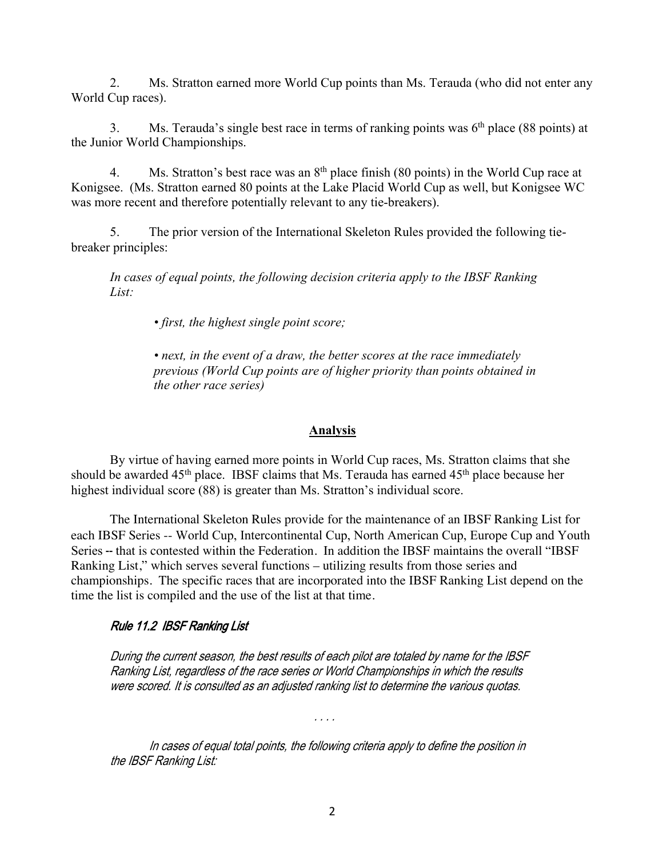2. Ms. Stratton earned more World Cup points than Ms. Terauda (who did not enter any World Cup races).

3. Ms. Terauda's single best race in terms of ranking points was  $6<sup>th</sup>$  place (88 points) at the Junior World Championships.

4. Ms. Stratton's best race was an  $8<sup>th</sup>$  place finish (80 points) in the World Cup race at Konigsee. (Ms. Stratton earned 80 points at the Lake Placid World Cup as well, but Konigsee WC was more recent and therefore potentially relevant to any tie-breakers).

5. The prior version of the International Skeleton Rules provided the following tiebreaker principles:

*In cases of equal points, the following decision criteria apply to the IBSF Ranking List:* 

*• first, the highest single point score;* 

*• next, in the event of a draw, the better scores at the race immediately previous (World Cup points are of higher priority than points obtained in the other race series)* 

### **Analysis**

By virtue of having earned more points in World Cup races, Ms. Stratton claims that she should be awarded 45<sup>th</sup> place. IBSF claims that Ms. Terauda has earned 45<sup>th</sup> place because her highest individual score (88) is greater than Ms. Stratton's individual score.

The International Skeleton Rules provide for the maintenance of an IBSF Ranking List for each IBSF Series -- World Cup, Intercontinental Cup, North American Cup, Europe Cup and Youth Series -- that is contested within the Federation. In addition the IBSF maintains the overall "IBSF Ranking List," which serves several functions – utilizing results from those series and championships. The specific races that are incorporated into the IBSF Ranking List depend on the time the list is compiled and the use of the list at that time.

### Rule 11.2 IBSF Ranking List

During the current season, the best results of each pilot are totaled by name for the IBSF Ranking List, regardless of the race series or World Championships in which the results were scored. It is consulted as an adjusted ranking list to determine the various quotas.

. . . .

In cases of equal total points, the following criteria apply to define the position in the IBSF Ranking List: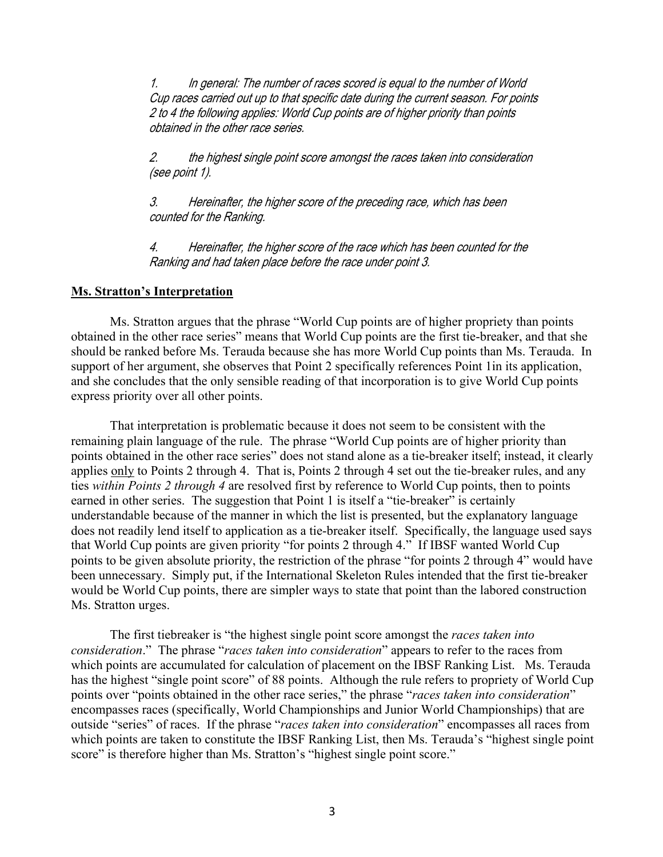1. In general: The number of races scored is equal to the number of World Cup races carried out up to that specific date during the current season. For points 2 to 4 the following applies: World Cup points are of higher priority than points obtained in the other race series.

2. the highest single point score amongst the races taken into consideration (see point 1).

3. Hereinafter, the higher score of the preceding race, which has been counted for the Ranking.

4. Hereinafter, the higher score of the race which has been counted for the Ranking and had taken place before the race under point 3.

### **Ms. Stratton's Interpretation**

Ms. Stratton argues that the phrase "World Cup points are of higher propriety than points obtained in the other race series" means that World Cup points are the first tie-breaker, and that she should be ranked before Ms. Terauda because she has more World Cup points than Ms. Terauda. In support of her argument, she observes that Point 2 specifically references Point 1in its application, and she concludes that the only sensible reading of that incorporation is to give World Cup points express priority over all other points.

That interpretation is problematic because it does not seem to be consistent with the remaining plain language of the rule. The phrase "World Cup points are of higher priority than points obtained in the other race series" does not stand alone as a tie-breaker itself; instead, it clearly applies only to Points 2 through 4. That is, Points 2 through 4 set out the tie-breaker rules, and any ties *within Points 2 through 4* are resolved first by reference to World Cup points, then to points earned in other series. The suggestion that Point 1 is itself a "tie-breaker" is certainly understandable because of the manner in which the list is presented, but the explanatory language does not readily lend itself to application as a tie-breaker itself. Specifically, the language used says that World Cup points are given priority "for points 2 through 4." If IBSF wanted World Cup points to be given absolute priority, the restriction of the phrase "for points 2 through 4" would have been unnecessary. Simply put, if the International Skeleton Rules intended that the first tie-breaker would be World Cup points, there are simpler ways to state that point than the labored construction Ms. Stratton urges.

The first tiebreaker is "the highest single point score amongst the *races taken into consideration*." The phrase "*races taken into consideration*" appears to refer to the races from which points are accumulated for calculation of placement on the IBSF Ranking List. Ms. Terauda has the highest "single point score" of 88 points. Although the rule refers to propriety of World Cup points over "points obtained in the other race series," the phrase "*races taken into consideration*" encompasses races (specifically, World Championships and Junior World Championships) that are outside "series" of races. If the phrase "*races taken into consideration*" encompasses all races from which points are taken to constitute the IBSF Ranking List, then Ms. Terauda's "highest single point score" is therefore higher than Ms. Stratton's "highest single point score."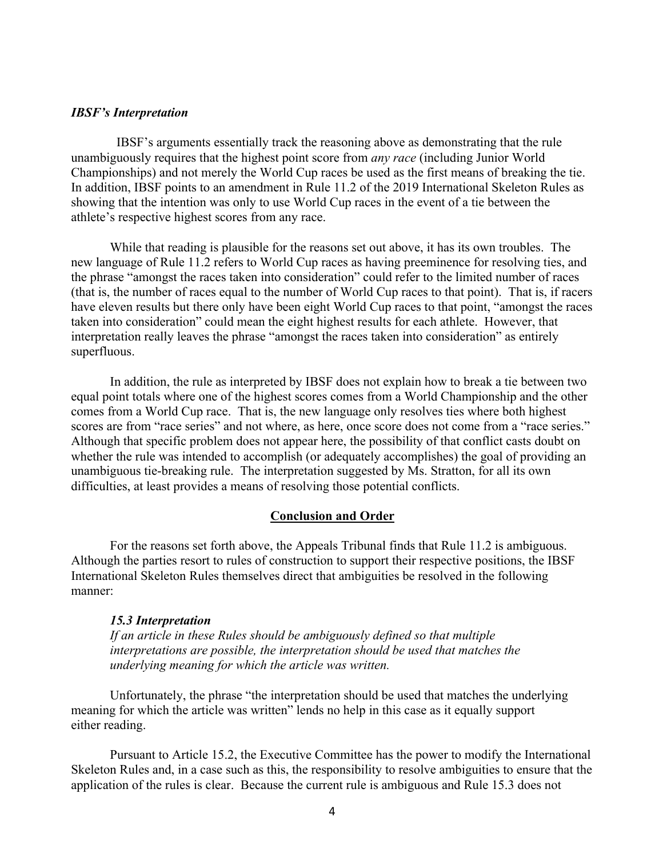### *IBSF's Interpretation*

 IBSF's arguments essentially track the reasoning above as demonstrating that the rule unambiguously requires that the highest point score from *any race* (including Junior World Championships) and not merely the World Cup races be used as the first means of breaking the tie. In addition, IBSF points to an amendment in Rule 11.2 of the 2019 International Skeleton Rules as showing that the intention was only to use World Cup races in the event of a tie between the athlete's respective highest scores from any race.

While that reading is plausible for the reasons set out above, it has its own troubles. The new language of Rule 11.2 refers to World Cup races as having preeminence for resolving ties, and the phrase "amongst the races taken into consideration" could refer to the limited number of races (that is, the number of races equal to the number of World Cup races to that point). That is, if racers have eleven results but there only have been eight World Cup races to that point, "amongst the races taken into consideration" could mean the eight highest results for each athlete. However, that interpretation really leaves the phrase "amongst the races taken into consideration" as entirely superfluous.

In addition, the rule as interpreted by IBSF does not explain how to break a tie between two equal point totals where one of the highest scores comes from a World Championship and the other comes from a World Cup race. That is, the new language only resolves ties where both highest scores are from "race series" and not where, as here, once score does not come from a "race series." Although that specific problem does not appear here, the possibility of that conflict casts doubt on whether the rule was intended to accomplish (or adequately accomplishes) the goal of providing an unambiguous tie-breaking rule. The interpretation suggested by Ms. Stratton, for all its own difficulties, at least provides a means of resolving those potential conflicts.

### **Conclusion and Order**

For the reasons set forth above, the Appeals Tribunal finds that Rule 11.2 is ambiguous. Although the parties resort to rules of construction to support their respective positions, the IBSF International Skeleton Rules themselves direct that ambiguities be resolved in the following manner:

#### *15.3 Interpretation*

*If an article in these Rules should be ambiguously defined so that multiple interpretations are possible, the interpretation should be used that matches the underlying meaning for which the article was written.*

Unfortunately, the phrase "the interpretation should be used that matches the underlying meaning for which the article was written" lends no help in this case as it equally support either reading.

Pursuant to Article 15.2, the Executive Committee has the power to modify the International Skeleton Rules and, in a case such as this, the responsibility to resolve ambiguities to ensure that the application of the rules is clear. Because the current rule is ambiguous and Rule 15.3 does not